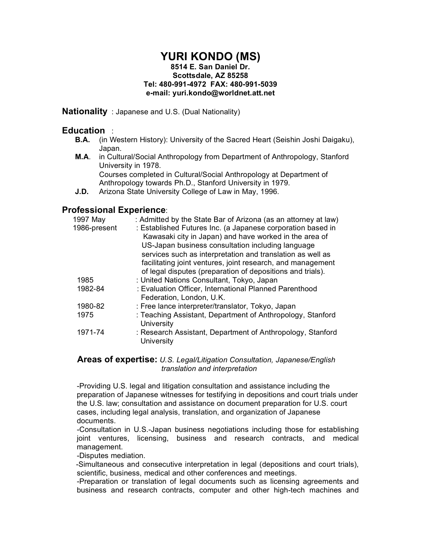## **YURI KONDO (MS) 8514 E. San Daniel Dr. Scottsdale, AZ 85258 Tel: 480-991-4972 FAX: 480-991-5039 e-mail: yuri.kondo@worldnet.att.net**

**Nationality** : Japanese and U.S. (Dual Nationality)

## **Education** :

- **B.A.** (in Western History): University of the Sacred Heart (Seishin Joshi Daigaku), Japan.
- **M.A**. in Cultural/Social Anthropology from Department of Anthropology, Stanford University in 1978. Courses completed in Cultural/Social Anthropology at Department of Anthropology towards Ph.D., Stanford University in 1979.
- **J.D.** Arizona State University College of Law in May, 1996.

# **Professional Experience**:

| 1997 May     | : Admitted by the State Bar of Arizona (as an attorney at law)                  |
|--------------|---------------------------------------------------------------------------------|
| 1986-present | : Established Futures Inc. (a Japanese corporation based in                     |
|              | Kawasaki city in Japan) and have worked in the area of                          |
|              | US-Japan business consultation including language                               |
|              | services such as interpretation and translation as well as                      |
|              | facilitating joint ventures, joint research, and management                     |
|              | of legal disputes (preparation of depositions and trials).                      |
| 1985         | : United Nations Consultant, Tokyo, Japan                                       |
| 1982-84      | : Evaluation Officer, International Planned Parenthood                          |
|              | Federation, London, U.K.                                                        |
| 1980-82      | : Free lance interpreter/translator, Tokyo, Japan                               |
| 1975         | : Teaching Assistant, Department of Anthropology, Stanford<br><b>University</b> |
| 1971-74      | : Research Assistant, Department of Anthropology, Stanford                      |
|              | University                                                                      |

#### **Areas of expertise:** *U.S. Legal/Litigation Consultation, Japanese/English translation and interpretation*

-Providing U.S. legal and litigation consultation and assistance including the preparation of Japanese witnesses for testifying in depositions and court trials under the U.S. law; consultation and assistance on document preparation for U.S. court cases, including legal analysis, translation, and organization of Japanese documents.

-Consultation in U.S.-Japan business negotiations including those for establishing joint ventures, licensing, business and research contracts, and medical management.

-Disputes mediation.

-Simultaneous and consecutive interpretation in legal (depositions and court trials), scientific, business, medical and other conferences and meetings.

-Preparation or translation of legal documents such as licensing agreements and business and research contracts, computer and other high-tech machines and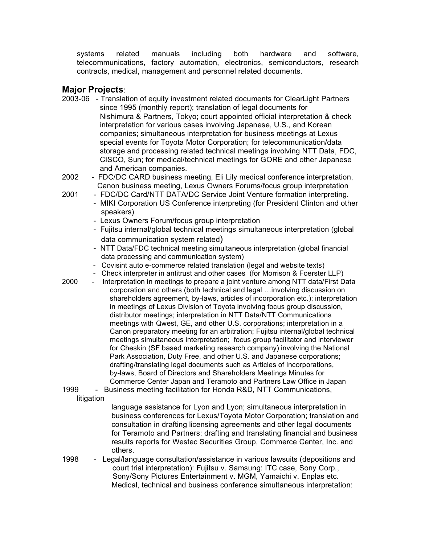systems related manuals including both hardware and software, telecommunications, factory automation, electronics, semiconductors, research contracts, medical, management and personnel related documents.

## **Major Projects**:

- 2003-06 Translation of equity investment related documents for ClearLight Partners since 1995 (monthly report); translation of legal documents for Nishimura & Partners, Tokyo; court appointed official interpretation & check interpretation for various cases involving Japanese, U.S., and Korean companies; simultaneous interpretation for business meetings at Lexus special events for Toyota Motor Corporation; for telecommunication/data storage and processing related technical meetings involving NTT Data, FDC, CISCO, Sun; for medical/technical meetings for GORE and other Japanese and American companies.
- 2002 FDC/DC CARD business meeting, Eli Lily medical conference interpretation, Canon business meeting, Lexus Owners Forums/focus group interpretation
- 2001 FDC/DC Card/NTT DATA/DC Service Joint Venture formation interpreting.
	- MIKI Corporation US Conference interpreting (for President Clinton and other speakers)
	- Lexus Owners Forum/focus group interpretation
	- Fujitsu internal/global technical meetings simultaneous interpretation (global data communication system related)
	- NTT Data/FDC technical meeting simultaneous interpretation (global financial data processing and communication system)
	- Covisint auto e-commerce related translation (legal and website texts)
	- Check interpreter in antitrust and other cases (for Morrison & Foerster LLP)
- 2000 Interpretation in meetings to prepare a joint venture among NTT data/First Data corporation and others (both technical and legal …involving discussion on shareholders agreement, by-laws, articles of incorporation etc.); interpretation in meetings of Lexus Division of Toyota involving focus group discussion, distributor meetings; interpretation in NTT Data/NTT Communications meetings with Qwest, GE, and other U.S. corporations; interpretation in a Canon preparatory meeting for an arbitration; Fujitsu internal/global technical meetings simultaneous interpretation; focus group facilitator and interviewer for Cheskin (SF based marketing research company) involving the National Park Association, Duty Free, and other U.S. and Japanese corporations; drafting/translating legal documents such as Articles of Incorporations, by-laws, Board of Directors and Shareholders Meetings Minutes for Commerce Center Japan and Teramoto and Partners Law Office in Japan
- 1999 Business meeting facilitation for Honda R&D, NTT Communications, litigation

language assistance for Lyon and Lyon; simultaneous interpretation in business conferences for Lexus/Toyota Motor Corporation; translation and consultation in drafting licensing agreements and other legal documents for Teramoto and Partners; drafting and translating financial and business results reports for Westec Securities Group, Commerce Center, Inc. and others.

1998 - Legal/language consultation/assistance in various lawsuits (depositions and court trial interpretation): Fujitsu v. Samsung: ITC case, Sony Corp., Sony/Sony Pictures Entertainment v. MGM, Yamaichi v. Enplas etc. Medical, technical and business conference simultaneous interpretation: